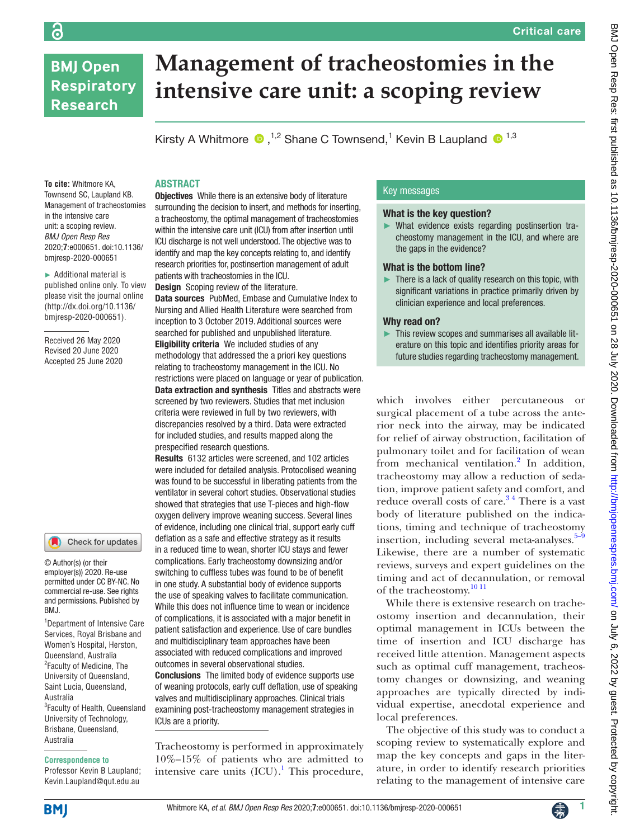## **BMJ Open Respiratory Research**

ခြ

# **Management of tracheostomies in the intensive care unit: a scoping review**

KirstyA Whitmore  $\bullet$ ,<sup>1,2</sup> Shane C Townsend,<sup>1</sup> Kevin B Laupland  $\bullet$ <sup>1,3</sup>

## ABSTRACT

**To cite:** Whitmore KA, Townsend SC, Laupland KB. Management of tracheostomies in the intensive care unit: a scoping review. *BMJ Open Resp Res* 2020;**7**:e000651. doi:10.1136/ bmjresp-2020-000651

► Additional material is published online only. To view please visit the journal online ([http://dx.doi.org/10.1136/](http://dx.doi.org/10.1136/bmjresp-2020-000651) [bmjresp-2020-000651\)](http://dx.doi.org/10.1136/bmjresp-2020-000651).

Received 26 May 2020 Revised 20 June 2020 Accepted 25 June 2020

## Check for updates

© Author(s) (or their employer(s)) 2020. Re-use permitted under CC BY-NC. No commercial re-use. See rights and permissions. Published by BMJ.

1 Department of Intensive Care Services, Royal Brisbane and Women's Hospital, Herston, Queensland, Australia <sup>2</sup> Faculty of Medicine, The University of Queensland, Saint Lucia, Queensland, Australia <sup>3</sup>Faculty of Health, Queensland University of Technology, Brisbane, Queensland, Australia

#### **Correspondence to**

Professor Kevin B Laupland; Kevin.Laupland@qut.edu.au

**Objectives** While there is an extensive body of literature surrounding the decision to insert, and methods for inserting, a tracheostomy, the optimal management of tracheostomies within the intensive care unit (ICU) from after insertion until ICU discharge is not well understood. The objective was to identify and map the key concepts relating to, and identify research priorities for, postinsertion management of adult patients with tracheostomies in the ICU.

Design Scoping review of the literature.

Data sources PubMed, Embase and Cumulative Index to Nursing and Allied Health Literature were searched from inception to 3 October 2019. Additional sources were searched for published and unpublished literature. Eligibility criteria We included studies of any methodology that addressed the a priori key questions relating to tracheostomy management in the ICU. No restrictions were placed on language or year of publication. Data extraction and synthesis Titles and abstracts were screened by two reviewers. Studies that met inclusion criteria were reviewed in full by two reviewers, with discrepancies resolved by a third. Data were extracted for included studies, and results mapped along the prespecified research questions.

Results 6132 articles were screened, and 102 articles were included for detailed analysis. Protocolised weaning was found to be successful in liberating patients from the ventilator in several cohort studies. Observational studies showed that strategies that use T-pieces and high-flow oxygen delivery improve weaning success. Several lines of evidence, including one clinical trial, support early cuff deflation as a safe and effective strategy as it results in a reduced time to wean, shorter ICU stays and fewer complications. Early tracheostomy downsizing and/or switching to cuffless tubes was found to be of benefit in one study. A substantial body of evidence supports the use of speaking valves to facilitate communication. While this does not influence time to wean or incidence of complications, it is associated with a major benefit in patient satisfaction and experience. Use of care bundles and multidisciplinary team approaches have been associated with reduced complications and improved outcomes in several observational studies.

Conclusions The limited body of evidence supports use of weaning protocols, early cuff deflation, use of speaking valves and multidisciplinary approaches. Clinical trials examining post-tracheostomy management strategies in ICUs are a priority.

Tracheostomy is performed in approximately 10%–15% of patients who are admitted to intensive care units  $(ICU)$ .<sup>[1](#page-6-0)</sup> This procedure,

## Key messages

#### What is the key question?

► What evidence exists regarding postinsertion tracheostomy management in the ICU, and where are the gaps in the evidence?

#### What is the bottom line?

There is a lack of quality research on this topic, with significant variations in practice primarily driven by clinician experience and local preferences.

## Why read on?

This review scopes and summarises all available literature on this topic and identifies priority areas for future studies regarding tracheostomy management.

which involves either percutaneous or surgical placement of a tube across the anterior neck into the airway, may be indicated for relief of airway obstruction, facilitation of pulmonary toilet and for facilitation of wean from mechanical ventilation.<sup>[2](#page-6-1)</sup> In addition, tracheostomy may allow a reduction of sedation, improve patient safety and comfort, and reduce overall costs of care.<sup>34</sup> There is a vast body of literature published on the indications, timing and technique of tracheostomy insertion, including several meta-analyses. $5-9$ Likewise, there are a number of systematic reviews, surveys and expert guidelines on the timing and act of decannulation, or removal of the tracheostomy.<sup>[10 11](#page-6-4)</sup>

While there is extensive research on tracheostomy insertion and decannulation, their optimal management in ICUs between the time of insertion and ICU discharge has received little attention. Management aspects such as optimal cuff management, tracheostomy changes or downsizing, and weaning approaches are typically directed by individual expertise, anecdotal experience and local preferences.

The objective of this study was to conduct a scoping review to systematically explore and map the key concepts and gaps in the literature, in order to identify research priorities relating to the management of intensive care

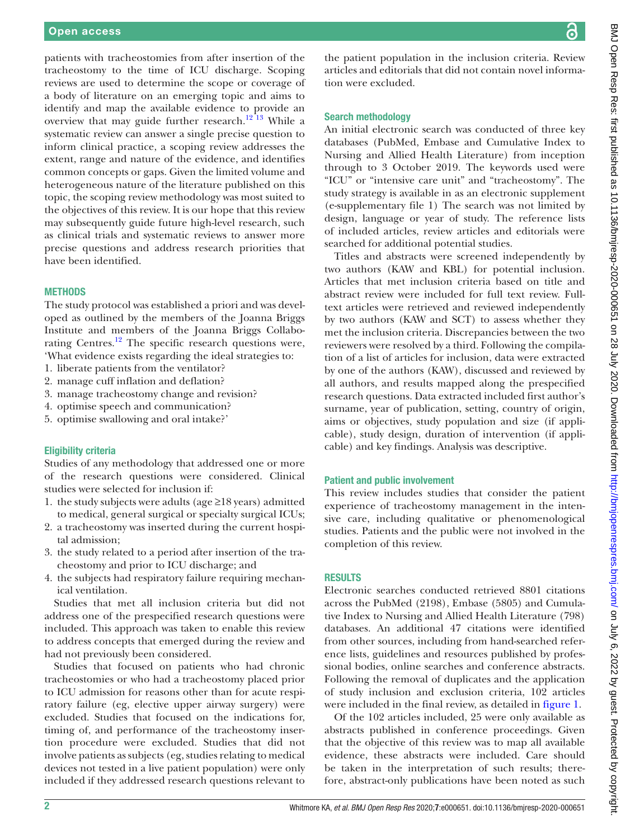patients with tracheostomies from after insertion of the tracheostomy to the time of ICU discharge. Scoping reviews are used to determine the scope or coverage of a body of literature on an emerging topic and aims to identify and map the available evidence to provide an overview that may guide further research.<sup>12 13</sup> While a systematic review can answer a single precise question to inform clinical practice, a scoping review addresses the extent, range and nature of the evidence, and identifies common concepts or gaps. Given the limited volume and heterogeneous nature of the literature published on this topic, the scoping review methodology was most suited to the objectives of this review. It is our hope that this review may subsequently guide future high-level research, such as clinical trials and systematic reviews to answer more precise questions and address research priorities that have been identified.

## **METHODS**

The study protocol was established a priori and was developed as outlined by the members of the Joanna Briggs Institute and members of the Joanna Briggs Collabo-rating Centres.<sup>[12](#page-7-0)</sup> The specific research questions were, 'What evidence exists regarding the ideal strategies to:

- 1. liberate patients from the ventilator?
- 2. manage cuff inflation and deflation?
- 3. manage tracheostomy change and revision?
- 4. optimise speech and communication?
- 5. optimise swallowing and oral intake?'

#### Eligibility criteria

Studies of any methodology that addressed one or more of the research questions were considered. Clinical studies were selected for inclusion if:

- 1. the study subjects were adults (age ≥18 years) admitted to medical, general surgical or specialty surgical ICUs;
- 2. a tracheostomy was inserted during the current hospital admission;
- 3. the study related to a period after insertion of the tracheostomy and prior to ICU discharge; and
- 4. the subjects had respiratory failure requiring mechanical ventilation.

Studies that met all inclusion criteria but did not address one of the prespecified research questions were included. This approach was taken to enable this review to address concepts that emerged during the review and had not previously been considered.

Studies that focused on patients who had chronic tracheostomies or who had a tracheostomy placed prior to ICU admission for reasons other than for acute respiratory failure (eg, elective upper airway surgery) were excluded. Studies that focused on the indications for, timing of, and performance of the tracheostomy insertion procedure were excluded. Studies that did not involve patients as subjects (eg, studies relating to medical devices not tested in a live patient population) were only included if they addressed research questions relevant to

the patient population in the inclusion criteria. Review articles and editorials that did not contain novel information were excluded.

#### Search methodology

An initial electronic search was conducted of three key databases (PubMed, Embase and Cumulative Index to Nursing and Allied Health Literature) from inception through to 3 October 2019. The keywords used were "ICU" or "intensive care unit" and "tracheostomy". The study strategy is available in as an electronic supplement [\(e-supplementary file 1](https://dx.doi.org/10.1136/bmjresp-2020-000651)) The search was not limited by design, language or year of study. The reference lists of included articles, review articles and editorials were searched for additional potential studies.

Titles and abstracts were screened independently by two authors (KAW and KBL) for potential inclusion. Articles that met inclusion criteria based on title and abstract review were included for full text review. Fulltext articles were retrieved and reviewed independently by two authors (KAW and SCT) to assess whether they met the inclusion criteria. Discrepancies between the two reviewers were resolved by a third. Following the compilation of a list of articles for inclusion, data were extracted by one of the authors (KAW), discussed and reviewed by all authors, and results mapped along the prespecified research questions. Data extracted included first author's surname, year of publication, setting, country of origin, aims or objectives, study population and size (if applicable), study design, duration of intervention (if applicable) and key findings. Analysis was descriptive.

#### Patient and public involvement

This review includes studies that consider the patient experience of tracheostomy management in the intensive care, including qualitative or phenomenological studies. Patients and the public were not involved in the completion of this review.

#### RESULTS

Electronic searches conducted retrieved 8801 citations across the PubMed (2198), Embase (5805) and Cumulative Index to Nursing and Allied Health Literature (798) databases. An additional 47 citations were identified from other sources, including from hand-searched reference lists, guidelines and resources published by professional bodies, online searches and conference abstracts. Following the removal of duplicates and the application of study inclusion and exclusion criteria, 102 articles were included in the final review, as detailed in [figure](#page-2-0) 1.

Of the 102 articles included, 25 were only available as abstracts published in conference proceedings. Given that the objective of this review was to map all available evidence, these abstracts were included. Care should be taken in the interpretation of such results; therefore, abstract-only publications have been noted as such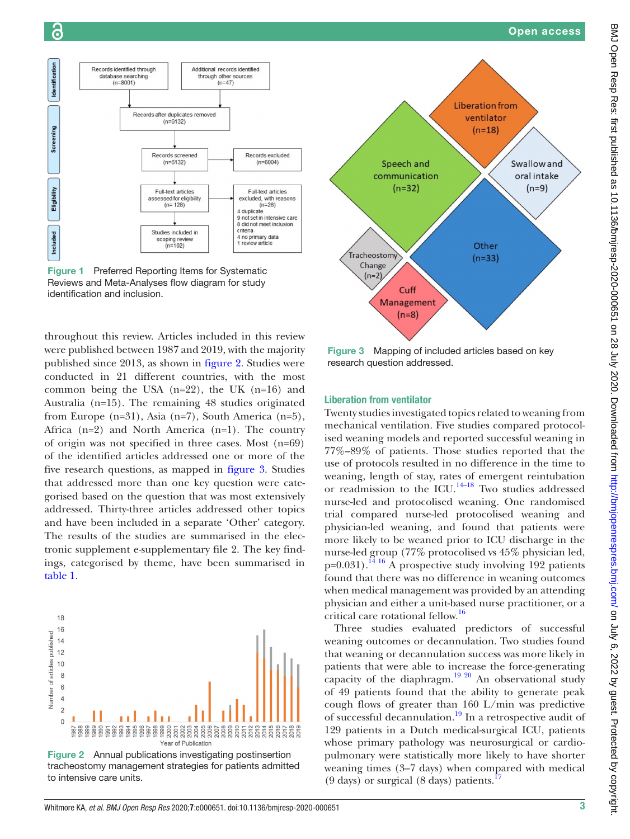Identification

Screening

Eligibility

<span id="page-2-0"></span>Included

identification and inclusion.

Records identified through

database searching<br>(n=8001)

Swallow and

oral intake

 $(n=9)$ 

ventilator

 $(n=18)$ 

Other

 $(n=33)$ 



throughout this review. Articles included in this review were published between 1987 and 2019, with the majority published since 2013, as shown in [figure](#page-2-1) 2. Studies were conducted in 21 different countries, with the most common being the USA (n=22), the UK (n=16) and Australia (n=15). The remaining 48 studies originated from Europe (n=31), Asia (n=7), South America (n=5), Africa (n=2) and North America (n=1). The country of origin was not specified in three cases. Most (n=69) of the identified articles addressed one or more of the five research questions, as mapped in [figure](#page-2-2) 3. Studies that addressed more than one key question were categorised based on the question that was most extensively addressed. Thirty-three articles addressed other topics and have been included in a separate 'Other' category. The results of the studies are summarised in the electronic supplement [e-supplementary file 2.](https://dx.doi.org/10.1136/bmjresp-2020-000651) The key findings, categorised by theme, have been summarised in [table](#page-3-0) 1.



<span id="page-2-1"></span>Figure 2 Annual publications investigating postinsertion tracheostomy management strategies for patients admitted to intensive care units.

<span id="page-2-2"></span>Figure 3 Mapping of included articles based on key research question addressed.

## Liberation from ventilator

Twenty studies investigated topics related to weaning from mechanical ventilation. Five studies compared protocolised weaning models and reported successful weaning in 77%–89% of patients. Those studies reported that the use of protocols resulted in no difference in the time to weaning, length of stay, rates of emergent reintubation or readmission to the ICU. $^{14-18}$  Two studies addressed nurse-led and protocolised weaning. One randomised trial compared nurse-led protocolised weaning and physician-led weaning, and found that patients were more likely to be weaned prior to ICU discharge in the nurse-led group (77% protocolised vs 45% physician led,  $p=0.031$ ).<sup>14 16</sup> A prospective study involving 192 patients found that there was no difference in weaning outcomes when medical management was provided by an attending physician and either a unit-based nurse practitioner, or a critical care rotational fellow.[16](#page-7-2)

Three studies evaluated predictors of successful weaning outcomes or decannulation. Two studies found that weaning or decannulation success was more likely in patients that were able to increase the force-generating capacity of the diaphragm.<sup>19 20</sup> An observational study of 49 patients found that the ability to generate peak cough flows of greater than 160 L/min was predictive of successful decannulation.<sup>19</sup> In a retrospective audit of 129 patients in a Dutch medical-surgical ICU, patients whose primary pathology was neurosurgical or cardiopulmonary were statistically more likely to have shorter weaning times (3–7 days) when compared with medical  $(9 \text{ days})$  or surgical  $(8 \text{ days})$  patients.<sup>[17](#page-7-4)</sup>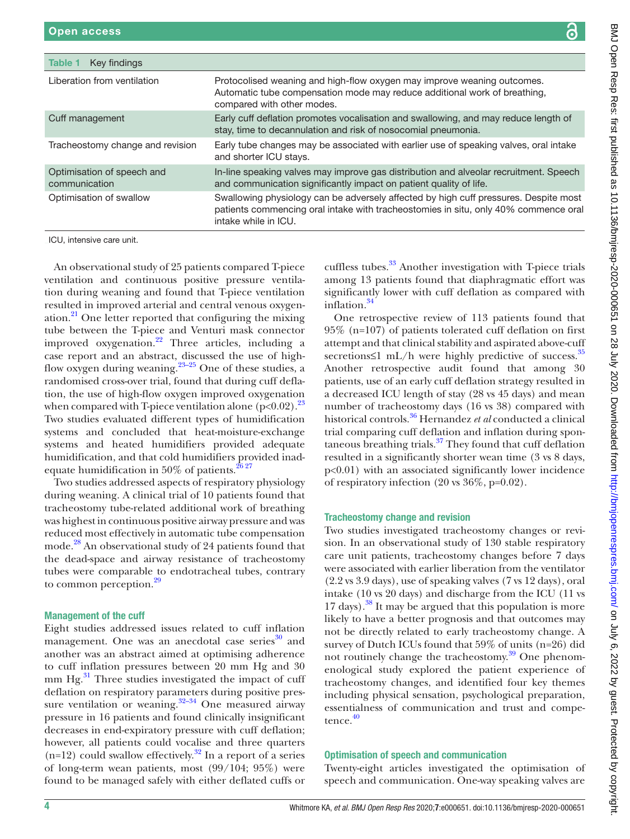<span id="page-3-0"></span>

| Table 1<br>Key findings                                |                                                                                                                                                                                                     |
|--------------------------------------------------------|-----------------------------------------------------------------------------------------------------------------------------------------------------------------------------------------------------|
| Liberation from ventilation                            | Protocolised weaning and high-flow oxygen may improve weaning outcomes.<br>Automatic tube compensation mode may reduce additional work of breathing,<br>compared with other modes.                  |
| Cuff management                                        | Early cuff deflation promotes vocalisation and swallowing, and may reduce length of<br>stay, time to decannulation and risk of nosocomial pneumonia.                                                |
| Tracheostomy change and revision                       | Early tube changes may be associated with earlier use of speaking valves, oral intake<br>and shorter ICU stays.                                                                                     |
| Optimisation of speech and<br>communication            | In-line speaking valves may improve gas distribution and alveolar recruitment. Speech<br>and communication significantly impact on patient quality of life.                                         |
| Optimisation of swallow                                | Swallowing physiology can be adversely affected by high cuff pressures. Despite most<br>patients commencing oral intake with tracheostomies in situ, only 40% commence oral<br>intake while in ICU. |
| ICU, intensive care unit.                              |                                                                                                                                                                                                     |
| An observational study of 25 patients compared T-piece | cuffless tubes. <sup>33</sup> Another investigation with T-piece trials                                                                                                                             |

ventilation and continuous positive pressure ventilation during weaning and found that T-piece ventilation resulted in improved arterial and central venous oxygenation. $^{21}$  One letter reported that configuring the mixing tube between the T-piece and Venturi mask connector improved oxygenation. $^{22}$  Three articles, including a case report and an abstract, discussed the use of highflow oxygen during weaning. $23-25$  One of these studies, a randomised cross-over trial, found that during cuff deflation, the use of high-flow oxygen improved oxygenation when compared with T-piece ventilation alone ( $p<0.02$ ).<sup>23</sup> Two studies evaluated different types of humidification systems and concluded that heat-moisture-exchange systems and heated humidifiers provided adequate humidification, and that cold humidifiers provided inadequate humidification in 50% of patients. $26\frac{27}{27}$ 

Two studies addressed aspects of respiratory physiology during weaning. A clinical trial of 10 patients found that tracheostomy tube-related additional work of breathing was highest in continuous positive airway pressure and was reduced most effectively in automatic tube compensation mode.<sup>[28](#page-7-9)</sup> An observational study of 24 patients found that the dead-space and airway resistance of tracheostomy tubes were comparable to endotracheal tubes, contrary to common perception.<sup>29</sup>

## Management of the cuff

Eight studies addressed issues related to cuff inflation management. One was an anecdotal case series<sup>30</sup> and another was an abstract aimed at optimising adherence to cuff inflation pressures between 20 mm Hg and 30 mm  $Hg^{31}$ . Three studies investigated the impact of cuff deflation on respiratory parameters during positive pressure ventilation or weaning. $32-34$  One measured airway pressure in 16 patients and found clinically insignificant decreases in end-expiratory pressure with cuff deflation; however, all patients could vocalise and three quarters  $(n=12)$  could swallow effectively.<sup>32</sup> In a report of a series of long-term wean patients, most (99/104; 95%) were found to be managed safely with either deflated cuffs or

cuffless tubes.<sup>33</sup> Another investigation with T-piece trials among 13 patients found that diaphragmatic effort was significantly lower with cuff deflation as compared with inflation.<sup>[34](#page-7-15)</sup>

One retrospective review of 113 patients found that 95% (n=107) of patients tolerated cuff deflation on first attempt and that clinical stability and aspirated above-cuff secretions≤1 mL/h were highly predictive of success. $35$ Another retrospective audit found that among 30 patients, use of an early cuff deflation strategy resulted in a decreased ICU length of stay (28 vs 45 days) and mean number of tracheostomy days (16 vs 38) compared with historical controls.[36](#page-7-17) Hernandez *et al* conducted a clinical trial comparing cuff deflation and inflation during spontaneous breathing trials.<sup>37</sup> They found that cuff deflation resulted in a significantly shorter wean time (3 vs 8 days, p<0.01) with an associated significantly lower incidence of respiratory infection (20 vs 36%, p=0.02).

## Tracheostomy change and revision

Two studies investigated tracheostomy changes or revision. In an observational study of 130 stable respiratory care unit patients, tracheostomy changes before 7 days were associated with earlier liberation from the ventilator (2.2 vs 3.9 days), use of speaking valves (7 vs 12 days), oral intake (10 vs 20 days) and discharge from the ICU (11 vs 17 days).<sup>38</sup> It may be argued that this population is more likely to have a better prognosis and that outcomes may not be directly related to early tracheostomy change. A survey of Dutch ICUs found that 59% of units (n=26) did not routinely change the tracheostomy. $\frac{39}{9}$  One phenomenological study explored the patient experience of tracheostomy changes, and identified four key themes including physical sensation, psychological preparation, essentialness of communication and trust and compe-tence.<sup>[40](#page-7-21)</sup>

## Optimisation of speech and communication

Twenty-eight articles investigated the optimisation of speech and communication. One-way speaking valves are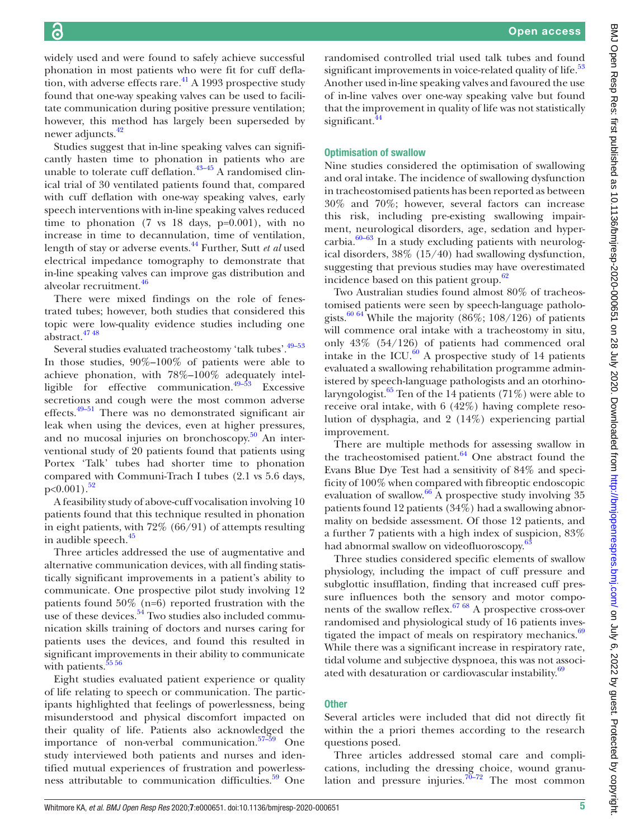widely used and were found to safely achieve successful phonation in most patients who were fit for cuff defla-tion, with adverse effects rare.<sup>[41](#page-7-22)</sup> A 1993 prospective study found that one-way speaking valves can be used to facilitate communication during positive pressure ventilation; however, this method has largely been superseded by newer adjuncts.<sup>42</sup>

Studies suggest that in-line speaking valves can significantly hasten time to phonation in patients who are unable to tolerate cuff deflation.<sup>43-45</sup> A randomised clinical trial of 30 ventilated patients found that, compared with cuff deflation with one-way speaking valves, early speech interventions with in-line speaking valves reduced time to phonation  $(7 \text{ vs } 18 \text{ days}, \text{ p=0.001})$ , with no increase in time to decannulation, time of ventilation, length of stay or adverse events.[44](#page-7-25) Further, Sutt *et al* used electrical impedance tomography to demonstrate that in-line speaking valves can improve gas distribution and alveolar recruitment.<sup>46</sup>

There were mixed findings on the role of fenestrated tubes; however, both studies that considered this topic were low-quality evidence studies including one abstract[.47 48](#page-7-27)

Several studies evaluated tracheostomy 'talk tubes'.<sup>49-53</sup> In those studies, 90%–100% of patients were able to achieve phonation, with 78%–100% adequately intelligible for effective communication.[49–53](#page-7-28) Excessive secretions and cough were the most common adverse effects.[49–51](#page-7-28) There was no demonstrated significant air leak when using the devices, even at higher pressures, and no mucosal injuries on bronchoscopy. $50$  An interventional study of 20 patients found that patients using Portex 'Talk' tubes had shorter time to phonation compared with Communi-Trach I tubes (2.1 vs 5.6 days,  $p<0.001$ ).<sup>[52](#page-7-30)</sup>

A feasibility study of above-cuff vocalisation involving 10 patients found that this technique resulted in phonation in eight patients, with 72% (66/91) of attempts resulting in audible speech.<sup>45</sup>

Three articles addressed the use of augmentative and alternative communication devices, with all finding statistically significant improvements in a patient's ability to communicate. One prospective pilot study involving 12 patients found 50% (n=6) reported frustration with the use of these devices. $54$  Two studies also included communication skills training of doctors and nurses caring for patients uses the devices, and found this resulted in significant improvements in their ability to communicate with patients.<sup>55 56</sup>

Eight studies evaluated patient experience or quality of life relating to speech or communication. The participants highlighted that feelings of powerlessness, being misunderstood and physical discomfort impacted on their quality of life. Patients also acknowledged the importance of non-verbal communication. $57-59$  One study interviewed both patients and nurses and identified mutual experiences of frustration and powerlessness attributable to communication difficulties.<sup>59</sup> One

randomised controlled trial used talk tubes and found significant improvements in voice-related quality of life.<sup>[53](#page-7-36)</sup> Another used in-line speaking valves and favoured the use of in-line valves over one-way speaking valve but found that the improvement in quality of life was not statistically significant.<sup>44</sup>

## Optimisation of swallow

Nine studies considered the optimisation of swallowing and oral intake. The incidence of swallowing dysfunction in tracheostomised patients has been reported as between 30% and 70%; however, several factors can increase this risk, including pre-existing swallowing impairment, neurological disorders, age, sedation and hypercarbia. $60-63$  In a study excluding patients with neurological disorders, 38% (15/40) had swallowing dysfunction, suggesting that previous studies may have overestimated incidence based on this patient group.<sup>62</sup>

Two Australian studies found almost 80% of tracheostomised patients were seen by speech-language pathologists.<sup>60 64</sup> While the majority  $(86\%; 108/126)$  of patients will commence oral intake with a tracheostomy in situ, only 43% (54/126) of patients had commenced oral intake in the ICU. $^{60}$  A prospective study of 14 patients evaluated a swallowing rehabilitation programme administered by speech-language pathologists and an otorhinolaryngologist.<sup>65</sup> Ten of the 14 patients (71%) were able to receive oral intake, with 6 (42%) having complete resolution of dysphagia, and 2 (14%) experiencing partial improvement.

There are multiple methods for assessing swallow in the tracheostomised patient. $64$  One abstract found the Evans Blue Dye Test had a sensitivity of 84% and specificity of 100% when compared with fibreoptic endoscopic evaluation of swallow. $66$  A prospective study involving 35 patients found 12 patients (34%) had a swallowing abnormality on bedside assessment. Of those 12 patients, and a further 7 patients with a high index of suspicion, 83% had abnormal swallow on videofluoroscopy.<sup>63</sup>

Three studies considered specific elements of swallow physiology, including the impact of cuff pressure and subglottic insufflation, finding that increased cuff pressure influences both the sensory and motor components of the swallow reflex.<sup>67 68</sup> A prospective cross-over randomised and physiological study of 16 patients investigated the impact of meals on respiratory mechanics.<sup>69</sup> While there was a significant increase in respiratory rate, tidal volume and subjective dyspnoea, this was not associ-ated with desaturation or cardiovascular instability.<sup>[69](#page-8-6)</sup>

## **Other**

Several articles were included that did not directly fit within the a priori themes according to the research questions posed.

Three articles addressed stomal care and complications, including the dressing choice, wound granulation and pressure injuries. $70-72$  The most common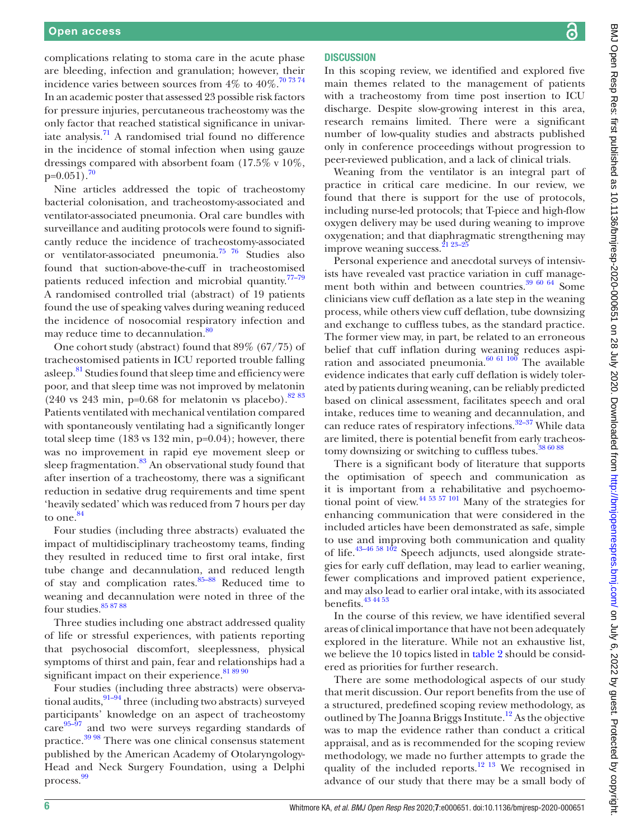complications relating to stoma care in the acute phase are bleeding, infection and granulation; however, their incidence varies between sources from  $4\%$  to  $40\%$ .<sup>[70 73 74](#page-8-7)</sup> In an academic poster that assessed 23 possible risk factors for pressure injuries, percutaneous tracheostomy was the only factor that reached statistical significance in univariate analysis. $\frac{71}{1}$  $\frac{71}{1}$  $\frac{71}{1}$  A randomised trial found no difference in the incidence of stomal infection when using gauze dressings compared with absorbent foam (17.5% v 10%,  $p=0.051$ ).<sup>[70](#page-8-7)</sup>

Nine articles addressed the topic of tracheostomy bacterial colonisation, and tracheostomy-associated and ventilator-associated pneumonia. Oral care bundles with surveillance and auditing protocols were found to significantly reduce the incidence of tracheostomy-associated or ventilator-associated pneumonia.[75 76](#page-8-9) Studies also found that suction-above-the-cuff in tracheostomised patients reduced infection and microbial quantity.<sup>77-79</sup> A randomised controlled trial (abstract) of 19 patients found the use of speaking valves during weaning reduced the incidence of nosocomial respiratory infection and may reduce time to decannulation.<sup>80</sup>

One cohort study (abstract) found that 89% (67/75) of tracheostomised patients in ICU reported trouble falling asleep.<sup>[81](#page-8-12)</sup> Studies found that sleep time and efficiency were poor, and that sleep time was not improved by melatonin (240 vs 243 min, p=0.68 for melatonin vs placebo).  $8283$ Patients ventilated with mechanical ventilation compared with spontaneously ventilating had a significantly longer total sleep time (183 vs 132 min, p=0.04); however, there was no improvement in rapid eye movement sleep or sleep fragmentation. $83$  An observational study found that after insertion of a tracheostomy, there was a significant reduction in sedative drug requirements and time spent 'heavily sedated' which was reduced from 7 hours per day to one.<sup>[84](#page-8-15)</sup>

Four studies (including three abstracts) evaluated the impact of multidisciplinary tracheostomy teams, finding they resulted in reduced time to first oral intake, first tube change and decannulation, and reduced length of stay and complication rates. $85-88$  Reduced time to weaning and decannulation were noted in three of the four studies. $858788$ 

Three studies including one abstract addressed quality of life or stressful experiences, with patients reporting that psychosocial discomfort, sleeplessness, physical symptoms of thirst and pain, fear and relationships had a significant impact on their experience. [81 89 90](#page-8-12)

Four studies (including three abstracts) were observational audits,  $91-94$  three (including two abstracts) surveyed participants' knowledge on an aspect of tracheostomy care<sup>95–97</sup> and two were surveys regarding standards of practice[.39 98](#page-7-20) There was one clinical consensus statement published by the American Academy of Otolaryngology-Head and Neck Surgery Foundation, using a Delphi process. [99](#page-8-19)

## **DISCUSSION**

In this scoping review, we identified and explored five main themes related to the management of patients with a tracheostomy from time post insertion to ICU discharge. Despite slow-growing interest in this area, research remains limited. There were a significant number of low-quality studies and abstracts published only in conference proceedings without progression to peer-reviewed publication, and a lack of clinical trials.

Weaning from the ventilator is an integral part of practice in critical care medicine. In our review, we found that there is support for the use of protocols, including nurse-led protocols; that T-piece and high-flow oxygen delivery may be used during weaning to improve oxygenation; and that diaphragmatic strengthening may improve weaning success.<sup>21 23-2</sup>

Personal experience and anecdotal surveys of intensivists have revealed vast practice variation in cuff management both within and between countries.<sup>39 60 64</sup> Some clinicians view cuff deflation as a late step in the weaning process, while others view cuff deflation, tube downsizing and exchange to cuffless tubes, as the standard practice. The former view may, in part, be related to an erroneous belief that cuff inflation during weaning reduces aspiration and associated pneumonia. $60$   $61$   $100$  The available evidence indicates that early cuff deflation is widely tolerated by patients during weaning, can be reliably predicted based on clinical assessment, facilitates speech and oral intake, reduces time to weaning and decannulation, and can reduce rates of respiratory infections.<sup>[32–37](#page-7-13)</sup> While data are limited, there is potential benefit from early tracheostomy downsizing or switching to cuffless tubes.<sup>38 60 88</sup>

There is a significant body of literature that supports the optimisation of speech and communication as it is important from a rehabilitative and psychoemotional point of view. $44\frac{44\frac{53}{57}}{101}$  Many of the strategies for enhancing communication that were considered in the included articles have been demonstrated as safe, simple to use and improving both communication and quality of life. $43-46\frac{58}{102}$  Speech adjuncts, used alongside strategies for early cuff deflation, may lead to earlier weaning, fewer complications and improved patient experience, and may also lead to earlier oral intake, with its associated benefits. $43\frac{43\frac{44}{53}}{45}$ 

In the course of this review, we have identified several areas of clinical importance that have not been adequately explored in the literature. While not an exhaustive list, we believe the 10 topics listed in [table](#page-6-5) 2 should be considered as priorities for further research.

There are some methodological aspects of our study that merit discussion. Our report benefits from the use of a structured, predefined scoping review methodology, as outlined by The Joanna Briggs Institute.<sup>12</sup> As the objective was to map the evidence rather than conduct a critical appraisal, and as is recommended for the scoping review methodology, we made no further attempts to grade the quality of the included reports.<sup>12 13</sup> We recognised in advance of our study that there may be a small body of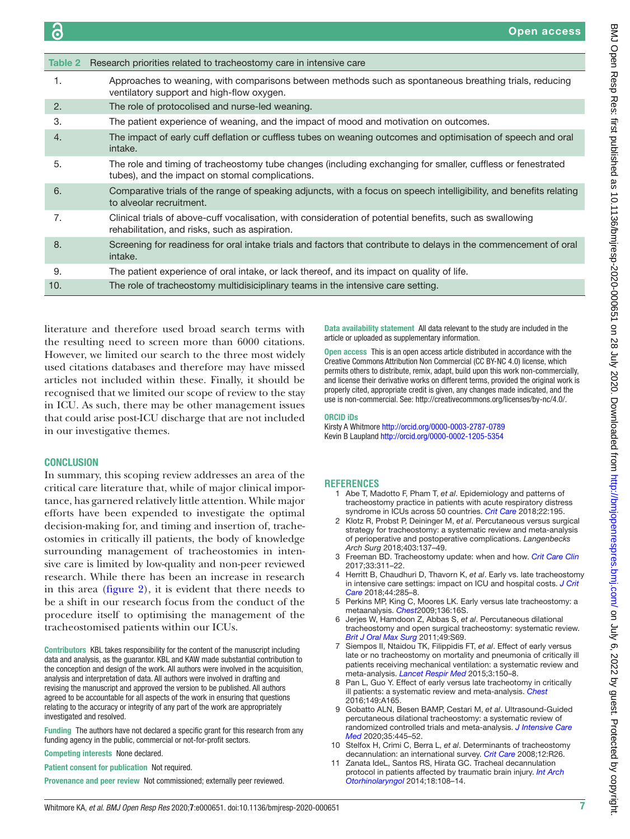<span id="page-6-5"></span>

| Table 2          | Research priorities related to tracheostomy care in intensive care                                                                                             |
|------------------|----------------------------------------------------------------------------------------------------------------------------------------------------------------|
| 1.               | Approaches to weaning, with comparisons between methods such as spontaneous breathing trials, reducing<br>ventilatory support and high-flow oxygen.            |
| 2.               | The role of protocolised and nurse-led weaning.                                                                                                                |
| 3.               | The patient experience of weaning, and the impact of mood and motivation on outcomes.                                                                          |
| $\overline{4}$ . | The impact of early cuff deflation or cuffless tubes on weaning outcomes and optimisation of speech and oral<br>intake.                                        |
| 5.               | The role and timing of tracheostomy tube changes (including exchanging for smaller, cuffless or fenestrated<br>tubes), and the impact on stomal complications. |
| 6.               | Comparative trials of the range of speaking adjuncts, with a focus on speech intelligibility, and benefits relating<br>to alveolar recruitment.                |
| 7.               | Clinical trials of above-cuff vocalisation, with consideration of potential benefits, such as swallowing<br>rehabilitation, and risks, such as aspiration.     |
| 8.               | Screening for readiness for oral intake trials and factors that contribute to delays in the commencement of oral<br>intake.                                    |
| 9.               | The patient experience of oral intake, or lack thereof, and its impact on quality of life.                                                                     |
| 10.              | The role of tracheostomy multidisiciplinary teams in the intensive care setting.                                                                               |

literature and therefore used broad search terms with the resulting need to screen more than 6000 citations. However, we limited our search to the three most widely used citations databases and therefore may have missed articles not included within these. Finally, it should be recognised that we limited our scope of review to the stay in ICU. As such, there may be other management issues that could arise post-ICU discharge that are not included in our investigative themes.

#### **CONCLUSION**

In summary, this scoping review addresses an area of the critical care literature that, while of major clinical importance, has garnered relatively little attention. While major efforts have been expended to investigate the optimal decision-making for, and timing and insertion of, tracheostomies in critically ill patients, the body of knowledge surrounding management of tracheostomies in intensive care is limited by low-quality and non-peer reviewed research. While there has been an increase in research in this area ([figure](#page-2-1) 2), it is evident that there needs to be a shift in our research focus from the conduct of the procedure itself to optimising the management of the tracheostomised patients within our ICUs.

Contributors KBL takes responsibility for the content of the manuscript including data and analysis, as the guarantor. KBL and KAW made substantial contribution to the conception and design of the work. All authors were involved in the acquisition, analysis and interpretation of data. All authors were involved in drafting and revising the manuscript and approved the version to be published. All authors agreed to be accountable for all aspects of the work in ensuring that questions relating to the accuracy or integrity of any part of the work are appropriately investigated and resolved.

Funding The authors have not declared a specific grant for this research from any funding agency in the public, commercial or not-for-profit sectors.

Competing interests None declared.

Patient consent for publication Not required.

Provenance and peer review Not commissioned; externally peer reviewed.

Data availability statement All data relevant to the study are included in the article or uploaded as supplementary information.

Open access This is an open access article distributed in accordance with the Creative Commons Attribution Non Commercial (CC BY-NC 4.0) license, which permits others to distribute, remix, adapt, build upon this work non-commercially, and license their derivative works on different terms, provided the original work is properly cited, appropriate credit is given, any changes made indicated, and the use is non-commercial. See:<http://creativecommons.org/licenses/by-nc/4.0/>.

#### ORCID iDs

Kirsty A Whitmore<http://orcid.org/0000-0003-2787-0789> Kevin B Laupland<http://orcid.org/0000-0002-1205-5354>

## <span id="page-6-0"></span>**REFERENCES**

- 1 Abe T, Madotto F, Pham T, *et al*. Epidemiology and patterns of tracheostomy practice in patients with acute respiratory distress syndrome in ICUs across 50 countries. *[Crit Care](http://dx.doi.org/10.1186/s13054-018-2126-6)* 2018;22:195.
- <span id="page-6-1"></span>2 Klotz R, Probst P, Deininger M, *et al*. Percutaneous versus surgical strategy for tracheostomy: a systematic review and meta-analysis of perioperative and postoperative complications. *Langenbecks Arch Surg* 2018;403:137–49.
- <span id="page-6-2"></span>3 Freeman BD. Tracheostomy update: when and how. *[Crit Care Clin](http://dx.doi.org/10.1016/j.ccc.2016.12.007)* 2017;33:311–22.
- 4 Herritt B, Chaudhuri D, Thavorn K, *et al*. Early vs. late tracheostomy in intensive care settings: impact on ICU and hospital costs. *[J Crit](http://dx.doi.org/10.1016/j.jcrc.2017.11.037)  [Care](http://dx.doi.org/10.1016/j.jcrc.2017.11.037)* 2018;44:285–8.
- <span id="page-6-3"></span>5 Perkins MP, King C, Moores LK. Early versus late tracheostomy: a metaanalysis. *[Chest](http://dx.doi.org/10.1378/chest.136.4_MeetingAbstracts.16S-h)*2009;136:16S.
- 6 Jerjes W, Hamdoon Z, Abbas S, *et al*. Percutaneous dilational tracheostomy and open surgical tracheostomy: systematic review. *[Brit J Oral Max Surg](http://dx.doi.org/10.1016/j.bjoms.2011.03.129)* 2011;49:S69.
- 7 Siempos II, Ntaidou TK, Filippidis FT, *et al*. Effect of early versus late or no tracheostomy on mortality and pneumonia of critically ill patients receiving mechanical ventilation: a systematic review and meta-analysis. *[Lancet Respir Med](http://dx.doi.org/10.1016/S2213-2600(15)00007-7)* 2015;3:150–8.
- 8 Pan L, Guo Y. Effect of early versus late tracheotomy in critically ill patients: a systematic review and meta-analysis. *[Chest](http://dx.doi.org/10.1016/j.chest.2016.02.171)* 2016;149:A165.
- 9 Gobatto ALN, Besen BAMP, Cestari M, *et al*. Ultrasound-Guided percutaneous dilational tracheostomy: a systematic review of randomized controlled trials and meta-analysis. *[J Intensive Care](http://dx.doi.org/10.1177/0885066618755334)  [Med](http://dx.doi.org/10.1177/0885066618755334)* 2020;35:445–52.
- <span id="page-6-4"></span>10 Stelfox H, Crimi C, Berra L, *et al*. Determinants of tracheostomy decannulation: an international survey. *[Crit Care](http://dx.doi.org/10.1186/cc6802)* 2008;12:R26.
- 11 Zanata IdeL, Santos RS, Hirata GC. Tracheal decannulation protocol in patients affected by traumatic brain injury. *[Int Arch](http://dx.doi.org/10.1055/s-0033-1363467)  [Otorhinolaryngol](http://dx.doi.org/10.1055/s-0033-1363467)* 2014;18:108–14.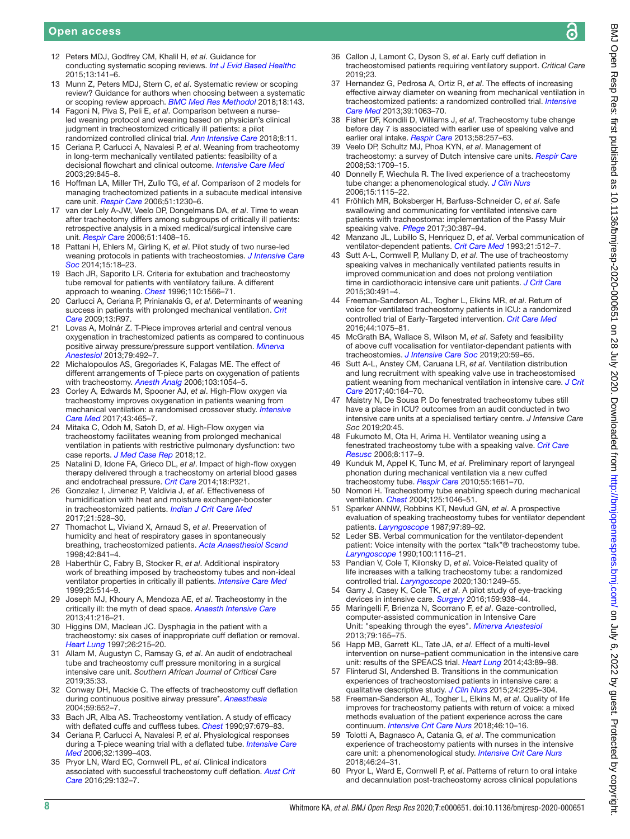- <span id="page-7-0"></span>12 Peters MDJ, Godfrey CM, Khalil H, *et al*. Guidance for conducting systematic scoping reviews. *[Int J Evid Based Healthc](http://dx.doi.org/10.1097/XEB.0000000000000050)* 2015;13:141–6.
- 13 Munn Z, Peters MDJ, Stern C, *et al*. Systematic review or scoping review? Guidance for authors when choosing between a systematic or scoping review approach. *[BMC Med Res Methodol](http://dx.doi.org/10.1186/s12874-018-0611-x)* 2018;18:143.
- <span id="page-7-1"></span>14 Fagoni N, Piva S, Peli E, *et al*. Comparison between a nurseled weaning protocol and weaning based on physician's clinical judgment in tracheostomized critically ill patients: a pilot randomized controlled clinical trial. *[Ann Intensive Care](http://dx.doi.org/10.1186/s13613-018-0354-1)* 2018;8:11.
- 15 Ceriana P, Carlucci A, Navalesi P, *et al*. Weaning from tracheotomy in long-term mechanically ventilated patients: feasibility of a decisional flowchart and clinical outcome. *[Intensive Care Med](http://dx.doi.org/10.1007/s00134-003-1689-z)* 2003;29:845–8.
- <span id="page-7-2"></span>16 Hoffman LA, Miller TH, Zullo TG, *et al*. Comparison of 2 models for managing tracheotomized patients in a subacute medical intensive care unit. *[Respir Care](http://www.ncbi.nlm.nih.gov/pubmed/http://www.ncbi.nlm.nih.gov/pubmed/17067404)* 2006;51:1230–6.
- <span id="page-7-4"></span>17 van der Lely A-JW, Veelo DP, Dongelmans DA, *et al*. Time to wean after tracheotomy differs among subgroups of critically ill patients: retrospective analysis in a mixed medical/surgical intensive care unit. *[Respir Care](http://www.ncbi.nlm.nih.gov/pubmed/http://www.ncbi.nlm.nih.gov/pubmed/17134521)* 2006;51:1408–15.
- 18 Pattani H, Ehlers M, Girling K, *et al*. Pilot study of two nurse-led weaning protocols in patients with tracheostomies. *[J Intensive Care](http://dx.doi.org/10.1177/175114371401500105) [Soc](http://dx.doi.org/10.1177/175114371401500105)* 2014;15:18–23.
- <span id="page-7-3"></span>19 Bach JR, Saporito LR. Criteria for extubation and tracheostomy tube removal for patients with ventilatory failure. A different approach to weaning. *[Chest](http://dx.doi.org/10.1378/chest.110.6.1566)* 1996;110:1566–71.
- 20 Carlucci A, Ceriana P, Prinianakis G, *et al*. Determinants of weaning success in patients with prolonged mechanical ventilation. *[Crit](http://dx.doi.org/10.1186/cc7927)  [Care](http://dx.doi.org/10.1186/cc7927)* 2009;13:R97.
- <span id="page-7-5"></span>21 Lovas A, Molnár Z. T-Piece improves arterial and central venous oxygenation in trachestomized patients as compared to continuous positive airway pressure/pressure support ventilation. *[Minerva](http://www.ncbi.nlm.nih.gov/pubmed/http://www.ncbi.nlm.nih.gov/pubmed/23511365)  [Anestesiol](http://www.ncbi.nlm.nih.gov/pubmed/http://www.ncbi.nlm.nih.gov/pubmed/23511365)* 2013;79:492–7.
- <span id="page-7-6"></span>22 Michalopoulos AS, Gregoriades K, Falagas ME. The effect of different arrangements of T-piece parts on oxygenation of patients with tracheostomy. *[Anesth Analg](http://dx.doi.org/10.1213/01.ane.0000239081.91973.b5)* 2006;103:1054–5.
- <span id="page-7-7"></span>23 Corley A, Edwards M, Spooner AJ, *et al*. High-Flow oxygen via tracheostomy improves oxygenation in patients weaning from mechanical ventilation: a randomised crossover study. *[Intensive](http://dx.doi.org/10.1007/s00134-016-4634-7)  [Care Med](http://dx.doi.org/10.1007/s00134-016-4634-7)* 2017;43:465–7.
- 24 Mitaka C, Odoh M, Satoh D, *et al*. High-Flow oxygen via tracheostomy facilitates weaning from prolonged mechanical ventilation in patients with restrictive pulmonary dysfunction: two case reports. *[J Med Case Rep](http://dx.doi.org/10.1186/s13256-018-1832-7)* 2018;12.
- 25 Natalini D, Idone FA, Grieco DL, *et al*. Impact of high-flow oxygen therapy delivered through a tracheostomy on arterial blood gases and endotracheal pressure. *[Crit Care](http://dx.doi.org/10.1186/cc13511)* 2014;18:P321.
- <span id="page-7-8"></span>26 Gonzalez I, Jimenez P, Valdivia J, *et al*. Effectiveness of humidification with heat and moisture exchanger-booster in tracheostomized patients. *[Indian J Crit Care Med](http://dx.doi.org/10.4103/ijccm.IJCCM_117_17)* 2017;21:528–30.
- 27 Thomachot L, Viviand X, Arnaud S, *et al*. Preservation of humidity and heat of respiratory gases in spontaneously breathing, tracheostomized patients. *[Acta Anaesthesiol Scand](http://dx.doi.org/10.1111/j.1399-6576.1998.tb05331.x)* 1998;42:841–4.
- <span id="page-7-9"></span>28 Haberthür C, Fabry B, Stocker R, *et al*. Additional inspiratory work of breathing imposed by tracheostomy tubes and non-ideal ventilator properties in critically ill patients. *[Intensive Care Med](http://dx.doi.org/10.1007/s001340050890)* 1999;25:514–9.
- <span id="page-7-10"></span>29 Joseph MJ, Khoury A, Mendoza AE, *et al*. Tracheostomy in the critically ill: the myth of dead space. *[Anaesth Intensive Care](http://dx.doi.org/10.1177/0310057X1304100211)* 2013;41:216–21.
- <span id="page-7-11"></span>30 Higgins DM, Maclean JC. Dysphagia in the patient with a tracheostomy: six cases of inappropriate cuff deflation or removal. *[Heart Lung](http://dx.doi.org/10.1016/S0147-9563(97)90058-3)* 1997;26:215–20.
- <span id="page-7-12"></span>31 Allam M, Augustyn C, Ramsay G, *et al*. An audit of endotracheal tube and tracheostomy cuff pressure monitoring in a surgical intensive care unit. *Southern African Journal of Critical Care* 2019;35:33.
- <span id="page-7-13"></span>32 Conway DH, Mackie C. The effects of tracheostomy cuff deflation during continuous positive airway pressure\*. *[Anaesthesia](http://dx.doi.org/10.1111/j.1365-2044.2004.03755.x)* 2004;59:652–7.
- <span id="page-7-14"></span>33 Bach JR, Alba AS. Tracheostomy ventilation. A study of efficacy with deflated cuffs and cuffless tubes. *[Chest](http://dx.doi.org/10.1378/chest.97.3.679)* 1990;97:679–83.
- <span id="page-7-15"></span>34 Ceriana P, Carlucci A, Navalesi P, *et al*. Physiological responses during a T-piece weaning trial with a deflated tube. *[Intensive Care](http://dx.doi.org/10.1007/s00134-006-0231-5)  [Med](http://dx.doi.org/10.1007/s00134-006-0231-5)* 2006;32:1399–403.
- <span id="page-7-16"></span>35 Pryor LN, Ward EC, Cornwell PL, *et al*. Clinical indicators associated with successful tracheostomy cuff deflation. *[Aust Crit](http://dx.doi.org/10.1016/j.aucc.2016.01.002)  [Care](http://dx.doi.org/10.1016/j.aucc.2016.01.002)* 2016;29:132–7.
- <span id="page-7-17"></span>36 Callon J, Lamont C, Dyson S, *et al*. Early cuff deflation in tracheostomised patients requiring ventilatory support. *Critical Care* 2019;23.
- <span id="page-7-18"></span>37 Hernandez G, Pedrosa A, Ortiz R, *et al*. The effects of increasing effective airway diameter on weaning from mechanical ventilation in tracheostomized patients: a randomized controlled trial. *[Intensive](http://dx.doi.org/10.1007/s00134-013-2870-7)  [Care Med](http://dx.doi.org/10.1007/s00134-013-2870-7)* 2013;39:1063–70.
- <span id="page-7-19"></span>38 Fisher DF, Kondili D, Williams J, *et al*. Tracheostomy tube change before day 7 is associated with earlier use of speaking valve and earlier oral intake. *[Respir Care](http://dx.doi.org/10.4187/respcare.01714)* 2013;58:257–63.
- <span id="page-7-20"></span>39 Veelo DP, Schultz MJ, Phoa KYN, *et al*. Management of tracheostomy: a survey of Dutch intensive care units. *[Respir Care](http://www.ncbi.nlm.nih.gov/pubmed/http://www.ncbi.nlm.nih.gov/pubmed/19025707)* 2008;53:1709–15.
- <span id="page-7-21"></span>40 Donnelly F, Wiechula R. The lived experience of a tracheostomy tube change: a phenomenological study. *[J Clin Nurs](http://dx.doi.org/10.1111/j.1365-2702.2006.01384.x)* 2006;15:1115–22.
- <span id="page-7-22"></span>41 Fröhlich MR, Boksberger H, Barfuss-Schneider C, *et al*. Safe swallowing and communicating for ventilated intensive care patients with tracheostoma: implementation of the Passy Muir speaking valve. *[Pflege](http://dx.doi.org/10.1024/1012-5302/a000589)* 2017;30:387–94.
- <span id="page-7-23"></span>42 Manzano JL, Lubillo S, Henriquez D, *et al*. Verbal communication of ventilator-dependent patients. *[Crit Care Med](http://dx.doi.org/10.1097/00003246-199304000-00009)* 1993;21:512–7.
- <span id="page-7-24"></span>43 Sutt A-L, Cornwell P, Mullany D, *et al*. The use of tracheostomy speaking valves in mechanically ventilated patients results in improved communication and does not prolong ventilation time in cardiothoracic intensive care unit patients. *[J Crit Care](http://dx.doi.org/10.1016/j.jcrc.2014.12.017)* 2015;30:491–4.
- <span id="page-7-25"></span>44 Freeman-Sanderson AL, Togher L, Elkins MR, *et al*. Return of voice for ventilated tracheostomy patients in ICU: a randomized controlled trial of Early-Targeted intervention. *[Crit Care Med](http://dx.doi.org/10.1097/CCM.0000000000001610)* 2016;44:1075–81.
- <span id="page-7-31"></span>45 McGrath BA, Wallace S, Wilson M, *et al*. Safety and feasibility of above cuff vocalisation for ventilator-dependant patients with tracheostomies. *[J Intensive Care Soc](http://dx.doi.org/10.1177/1751143718767055)* 2019;20:59–65.
- <span id="page-7-26"></span>46 Sutt A-L, Anstey CM, Caruana LR, *et al*. Ventilation distribution and lung recruitment with speaking valve use in tracheostomised patient weaning from mechanical ventilation in intensive care. *[J Crit](http://dx.doi.org/10.1016/j.jcrc.2017.04.001)  [Care](http://dx.doi.org/10.1016/j.jcrc.2017.04.001)* 2017;40:164–70.
- <span id="page-7-27"></span>47 Maistry N, De Sousa P. Do fenestrated tracheostomy tubes still have a place in ICU? outcomes from an audit conducted in two intensive care units at a specialised tertiary centre. *J Intensive Care Soc* 2019;20:45.
- 48 Fukumoto M, Ota H, Arima H. Ventilator weaning using a fenestrated tracheostomy tube with a speaking valve. *[Crit Care](http://www.ncbi.nlm.nih.gov/pubmed/http://www.ncbi.nlm.nih.gov/pubmed/16749877)  [Resusc](http://www.ncbi.nlm.nih.gov/pubmed/http://www.ncbi.nlm.nih.gov/pubmed/16749877)* 2006;8:117–9.
- <span id="page-7-28"></span>49 Kunduk M, Appel K, Tunc M, *et al*. Preliminary report of laryngeal phonation during mechanical ventilation via a new cuffed tracheostomy tube. *[Respir Care](http://www.ncbi.nlm.nih.gov/pubmed/http://www.ncbi.nlm.nih.gov/pubmed/21122174)* 2010;55:1661–70.
- <span id="page-7-29"></span>50 Nomori H. Tracheostomy tube enabling speech during mechanical ventilation. *[Chest](http://dx.doi.org/10.1378/chest.125.3.1046)* 2004;125:1046–51.
- 51 Sparker ANNW, Robbins KT, Nevlud GN, *et al*. A prospective evaluation of speaking tracheostomy tubes for ventilator dependent patients. *[Laryngoscope](http://dx.doi.org/10.1288/00005537-198701000-00017)* 1987;97:89–92.
- <span id="page-7-30"></span>52 Leder SB. Verbal communication for the ventilator-dependent patient: Voice intensity with the portex "talk"® tracheostomy tube. *[Laryngoscope](http://dx.doi.org/10.1288/00005537-199010000-00017)* 1990;100:1116–21.
- <span id="page-7-36"></span>53 Pandian V, Cole T, Kilonsky D, *et al*. Voice-Related quality of life increases with a talking tracheostomy tube: a randomized controlled trial. *[Laryngoscope](http://dx.doi.org/10.1002/lary.28211)* 2020;130:1249–55.
- <span id="page-7-32"></span>54 Garry J, Casey K, Cole TK, *et al*. A pilot study of eye-tracking devices in intensive care. *[Surgery](http://dx.doi.org/10.1016/j.surg.2015.08.012)* 2016;159:938–44.
- <span id="page-7-33"></span>55 Maringelli F, Brienza N, Scorrano F, *et al*. Gaze-controlled, computer-assisted communication in Intensive Care Unit: "speaking through the eyes". *[Minerva Anestesiol](http://www.ncbi.nlm.nih.gov/pubmed/http://www.ncbi.nlm.nih.gov/pubmed/23174919)* 2013;79:165–75.
- 56 Happ MB, Garrett KL, Tate JA, *et al*. Effect of a multi-level intervention on nurse–patient communication in the intensive care unit: results of the SPEACS trial. *[Heart Lung](http://dx.doi.org/10.1016/j.hrtlng.2013.11.010)* 2014;43:89–98.
- <span id="page-7-34"></span>57 Flinterud SI, Andershed B. Transitions in the communication experiences of tracheostomised patients in intensive care: a qualitative descriptive study. *[J Clin Nurs](http://dx.doi.org/10.1111/jocn.12826)* 2015;24:2295–304.
- 58 Freeman-Sanderson AL, Togher L, Elkins M, *et al*. Quality of life improves for tracheostomy patients with return of voice: a mixed methods evaluation of the patient experience across the care continuum. *[Intensive Crit Care Nurs](http://dx.doi.org/10.1016/j.iccn.2018.02.004)* 2018;46:10–16.
- <span id="page-7-35"></span>59 Tolotti A, Bagnasco A, Catania G, *et al*. The communication experience of tracheostomy patients with nurses in the intensive care unit: a phenomenological study. *[Intensive Crit Care Nurs](http://dx.doi.org/10.1016/j.iccn.2018.01.001)* 2018;46:24–31.
- <span id="page-7-37"></span>60 Pryor L, Ward E, Cornwell P, *et al*. Patterns of return to oral intake and decannulation post-tracheostomy across clinical populations